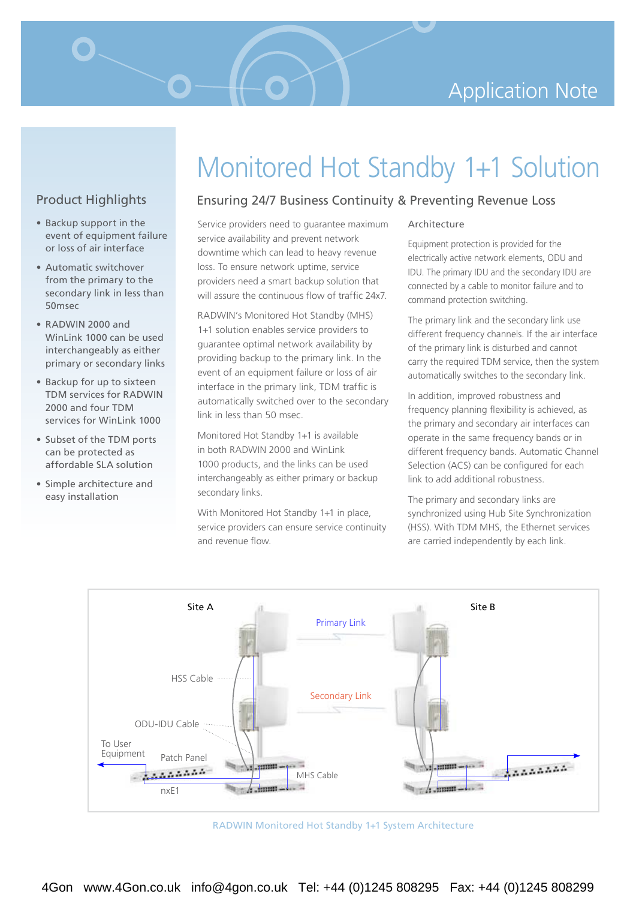# Application Note

# Monitored Hot Standby 1+1 Solution

## Product Highlights

- Backup support in the event of equipment failure or loss of air interface
- Automatic switchover from the primary to the secondary link in less than 50msec
- • RADWIN 2000 and WinLink 1000 can be used interchangeably as either primary or secondary links
- Backup for up to sixteen TDM services for RADWIN 2000 and four TDM services for WinLink 1000
- • Subset of the TDM ports can be protected as affordable SLA solution
- • Simple architecture and easy installation

### Ensuring 24/7 Business Continuity & Preventing Revenue Loss

Service providers need to guarantee maximum service availability and prevent network downtime which can lead to heavy revenue loss. To ensure network uptime, service providers need a smart backup solution that will assure the continuous flow of traffic 24x7.

RADWIN's Monitored Hot Standby (MHS) 1+1 solution enables service providers to guarantee optimal network availability by providing backup to the primary link. In the event of an equipment failure or loss of air interface in the primary link, TDM traffic is automatically switched over to the secondary link in less than 50 msec.

Monitored Hot Standby 1+1 is available in both RADWIN 2000 and WinLink 1000 products, and the links can be used interchangeably as either primary or backup secondary links.

With Monitored Hot Standby 1+1 in place, service providers can ensure service continuity and revenue flow.

#### Architecture

Equipment protection is provided for the electrically active network elements, ODU and IDU. The primary IDU and the secondary IDU are connected by a cable to monitor failure and to command protection switching.

The primary link and the secondary link use different frequency channels. If the air interface of the primary link is disturbed and cannot carry the required TDM service, then the system automatically switches to the secondary link.

In addition, improved robustness and frequency planning flexibility is achieved, as the primary and secondary air interfaces can operate in the same frequency bands or in different frequency bands. Automatic Channel Selection (ACS) can be configured for each link to add additional robustness.

The primary and secondary links are synchronized using Hub Site Synchronization (HSS). With TDM MHS, the Ethernet services are carried independently by each link.



RADWIN Monitored Hot Standby 1+1 System Architecture